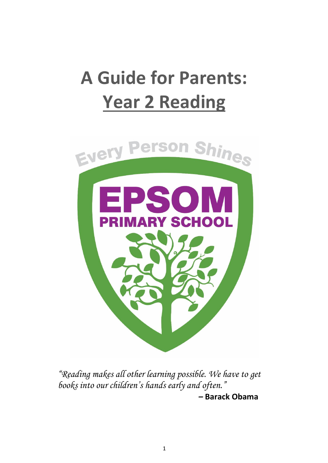# **A Guide for Parents: Year 2 Reading**



*"Reading makes all other learning possible. We have to get books into our children's hands early and often."*

*–* **Barack Obama**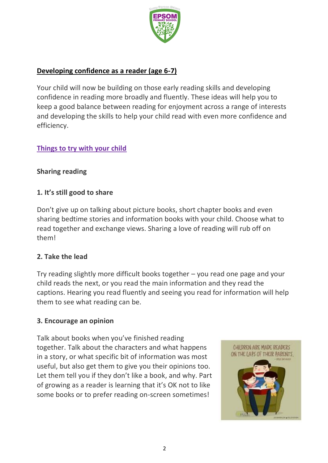

#### **Developing confidence as a reader (age 6-7)**

Your child will now be building on those early reading skills and developing confidence in reading more broadly and fluently. These ideas will help you to keep a good balance between reading for enjoyment across a range of interests and developing the skills to help your child read with even more confidence and efficiency.

#### **Things to try with your child**

#### **Sharing reading**

#### **1. It's still good to share**

Don't give up on talking about picture books, short chapter books and even sharing bedtime stories and information books with your child. Choose what to read together and exchange views. Sharing a love of reading will rub off on them!

#### **2. Take the lead**

Try reading slightly more difficult books together – you read one page and your child reads the next, or you read the main information and they read the captions. Hearing you read fluently and seeing you read for information will help them to see what reading can be.

#### **3. Encourage an opinion**

Talk about books when you've finished reading together. Talk about the characters and what happens in a story, or what specific bit of information was most useful, but also get them to give you their opinions too. Let them tell you if they don't like a book, and why. Part of growing as a reader is learning that it's OK not to like some books or to prefer reading on-screen sometimes!

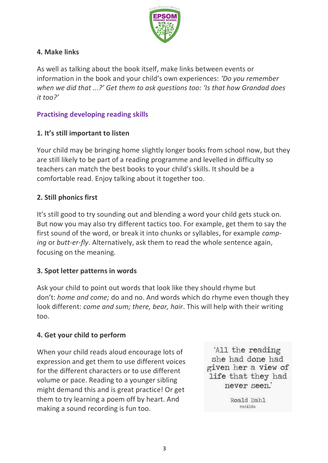

# **4. Make links**

As well as talking about the book itself, make links between events or information in the book and your child's own experiences: *'Do you remember when we did that ...?' Get them to ask questions too: 'Is that how Grandad does it too?'*

## **Practising developing reading skills**

# **1. It's still important to listen**

Your child may be bringing home slightly longer books from school now, but they are still likely to be part of a reading programme and levelled in difficulty so teachers can match the best books to your child's skills. It should be a comfortable read. Enjoy talking about it together too.

## **2. Still phonics first**

It's still good to try sounding out and blending a word your child gets stuck on. But now you may also try different tactics too. For example, get them to say the first sound of the word, or break it into chunks or syllables, for example *camping* or *butt-er-fly*. Alternatively, ask them to read the whole sentence again, focusing on the meaning.

## **3. Spot letter patterns in words**

Ask your child to point out words that look like they should rhyme but don't: *home and come;* do and no. And words which do rhyme even though they look different: *come and sum; there, bear, hair*. This will help with their writing too.

## **4. Get your child to perform**

When your child reads aloud encourage lots of expression and get them to use different voices for the different characters or to use different volume or pace. Reading to a younger sibling might demand this and is great practice! Or get them to try learning a poem off by heart. And making a sound recording is fun too.

'All the reading she had done had given her a view of life that they had never seen.'

> Roald Dahl Matilda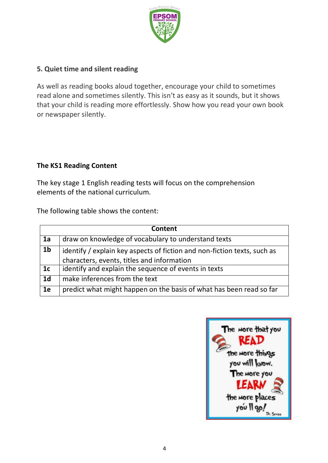

## **5. Quiet time and silent reading**

As well as reading books aloud together, encourage your child to sometimes read alone and sometimes silently. This isn't as easy as it sounds, but it shows that your child is reading more effortlessly. Show how you read your own book or newspaper silently.

## **The KS1 Reading Content**

The key stage 1 English reading tests will focus on the comprehension elements of the national curriculum.

The following table shows the content:

| Content        |                                                                                                                        |
|----------------|------------------------------------------------------------------------------------------------------------------------|
| 1a             | draw on knowledge of vocabulary to understand texts                                                                    |
| 1 <sub>b</sub> | identify / explain key aspects of fiction and non-fiction texts, such as<br>characters, events, titles and information |
| 1c             | identify and explain the sequence of events in texts                                                                   |
| 1 <sub>d</sub> | make inferences from the text                                                                                          |
| 1e             | predict what might happen on the basis of what has been read so far                                                    |

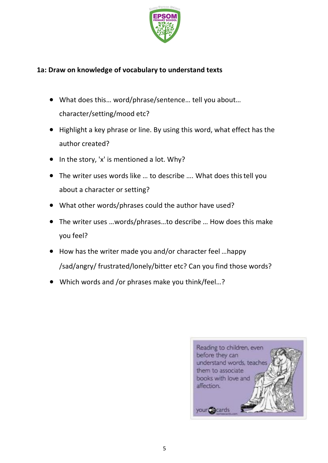

#### **1a: Draw on knowledge of vocabulary to understand texts**

- What does this… word/phrase/sentence… tell you about… character/setting/mood etc?
- Highlight a key phrase or line. By using this word, what effect has the author created?
- $\bullet$  In the story, 'x' is mentioned a lot. Why?
- The writer uses words like … to describe …. What does thistell you about a character or setting?
- What other words/phrases could the author have used?
- The writer uses …words/phrases…to describe … How does this make you feel?
- How has the writer made you and/or character feel ...happy /sad/angry/ frustrated/lonely/bitter etc? Can you find those words?
- Which words and /or phrases make you think/feel…?

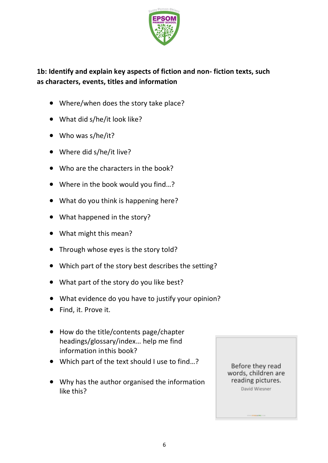

# **1b: Identify and explain key aspects of fiction and non- fiction texts, such as characters, events, titles and information**

- Where/when does the story take place?
- What did s/he/it look like?
- Who was s/he/it?
- Where did s/he/it live?
- Who are the characters in the book?
- Where in the book would you find...?
- What do you think is happening here?
- What happened in the story?
- What might this mean?
- Through whose eyes is the story told?
- Which part of the story best describes the setting?
- What part of the story do you like best?
- What evidence do you have to justify your opinion?
- Find, it. Prove it.
- How do the title/contents page/chapter headings/glossary/index… help me find information inthis book?
- Which part of the text should I use to find...?
- Why has the author organised the information like this?

Before they read words, children are reading pictures. David Wiesner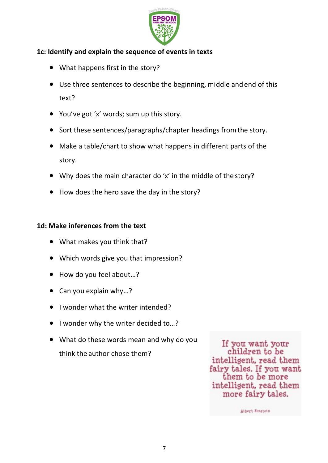

#### **1c: Identify and explain the sequence of events in texts**

- What happens first in the story?
- Use three sentences to describe the beginning, middle andend of this text?
- You've got 'x' words; sum up this story.
- Sort these sentences/paragraphs/chapter headings from the story.
- Make a table/chart to show what happens in different parts of the story.
- Why does the main character do 'x' in the middle of the story?
- How does the hero save the day in the story?

#### **1d: Make inferences from the text**

- What makes you think that?
- Which words give you that impression?
- How do you feel about...?
- Can you explain why...?
- I wonder what the writer intended?
- I wonder why the writer decided to...?
- What do these words mean and why do you think the author chose them?

If you want your children to be intelligent, read them fairy tales. If you want them to be more intelligent, read them more fairy tales.

Albert Einstein